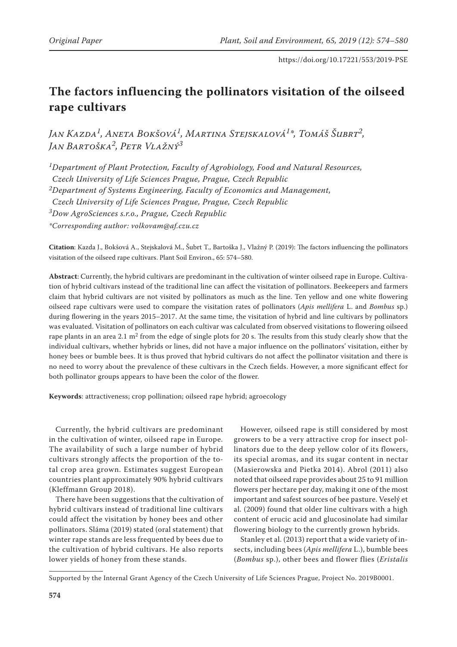# **The factors influencing the pollinators visitation of the oilseed rape cultivars**

*Jan Kazda1, Aneta Bokšová1, Martina Stejskalová1\*, Tomáš Šubrt2, Jan Bartoška2, Petr Vlažný3*

*1Department of Plant Protection, Faculty of Agrobiology, Food and Natural Resources, Czech University of Life Sciences Prague, Prague, Czech Republic 2Department of Systems Engineering, Faculty of Economics and Management, Czech University of Life Sciences Prague, Prague, Czech Republic 3Dow AgroSciences s.r.o., Prague, Czech Republic*

*\*Corresponding author: volkovam@af.czu.cz*

**Citation**: Kazda J., Bokšová A., Stejskalová M., Šubrt T., Bartoška J., Vlažný P. (2019): The factors influencing the pollinators visitation of the oilseed rape cultivars. Plant Soil Environ., 65: 574–580.

**Abstract**: Currently, the hybrid cultivars are predominant in the cultivation of winter oilseed rape in Europe. Cultivation of hybrid cultivars instead of the traditional line can affect the visitation of pollinators. Beekeepers and farmers claim that hybrid cultivars are not visited by pollinators as much as the line. Ten yellow and one white flowering oilseed rape cultivars were used to compare the visitation rates of pollinators (*Apis mellifera* L. and *Bombus* sp.) during flowering in the years 2015–2017. At the same time, the visitation of hybrid and line cultivars by pollinators was evaluated. Visitation of pollinators on each cultivar was calculated from observed visitations to flowering oilseed rape plants in an area 2.1  $m<sup>2</sup>$  from the edge of single plots for 20 s. The results from this study clearly show that the individual cultivars, whether hybrids or lines, did not have a major influence on the pollinators' visitation, either by honey bees or bumble bees. It is thus proved that hybrid cultivars do not affect the pollinator visitation and there is no need to worry about the prevalence of these cultivars in the Czech fields. However, a more significant effect for both pollinator groups appears to have been the color of the flower.

**Keywords**: attractiveness; crop pollination; oilseed rape hybrid; agroecology

Currently, the hybrid cultivars are predominant in the cultivation of winter, oilseed rape in Europe. The availability of such a large number of hybrid cultivars strongly affects the proportion of the total crop area grown. Estimates suggest European countries plant approximately 90% hybrid cultivars (Kleffmann Group 2018).

There have been suggestions that the cultivation of hybrid cultivars instead of traditional line cultivars could affect the visitation by honey bees and other pollinators. Sláma (2019) stated (oral statement) that winter rape stands are less frequented by bees due to the cultivation of hybrid cultivars. He also reports lower yields of honey from these stands.

However, oilseed rape is still considered by most growers to be a very attractive crop for insect pollinators due to the deep yellow color of its flowers, its special aromas, and its sugar content in nectar (Masierowska and Pietka 2014). Abrol (2011) also noted that oilseed rape provides about 25 to 91 million flowers per hectare per day, making it one of the most important and safest sources of bee pasture. Veselý et al. (2009) found that older line cultivars with a high content of erucic acid and glucosinolate had similar flowering biology to the currently grown hybrids.

Stanley et al. (2013) report that a wide variety of insects, including bees (*Apis mellifera* L.), bumble bees (*Bombus* sp.), other bees and flower flies (*Eristalis* 

Supported by the Internal Grant Agency of the Czech University of Life Sciences Prague, Project No. 2019B0001.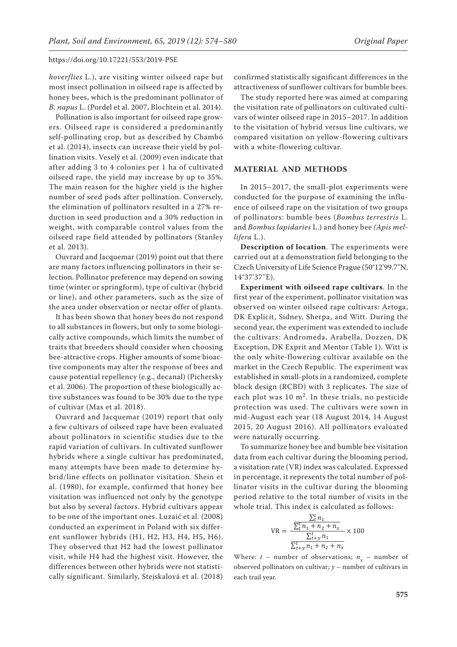*hoverflies* L.), are visiting winter oilseed rape but most insect pollination in oilseed rape is affected by honey bees, which is the predominant pollinator of *B. napus* L. (Pordel et al. 2007, Blochtein et al. 2014).

Pollination is also important for oilseed rape growers. Oilseed rape is considered a predominantly self-pollinating crop, but as described by Chambó et al. (2014), insects can increase their yield by pollination visits. Veselý et al. (2009) even indicate that after adding 3 to 4 colonies per 1 ha of cultivated oilseed rape, the yield may increase by up to 35%. The main reason for the higher yield is the higher number of seed pods after pollination. Conversely, the elimination of pollinators resulted in a 27% reduction in seed production and a 30% reduction in weight, with comparable control values from the oilseed rape field attended by pollinators (Stanley et al. 2013).

Ouvrard and Jacquemar (2019) point out that there are many factors influencing pollinators in their selection. Pollinator preference may depend on sowing time (winter or springform), type of cultivar (hybrid or line), and other parameters, such as the size of the area under observation or nectar offer of plants.

It has been shown that honey bees do not respond to all substances in flowers, but only to some biologically active compounds, which limits the number of traits that breeders should consider when choosing bee-attractive crops. Higher amounts of some bioactive components may alter the response of bees and cause potential repellency (e.g., decanal) (Pichersky et al. 2006). The proportion of these biologically active substances was found to be 30% due to the type of cultivar (Mas et al. 2018).

Ouvrard and Jacquemar (2019) report that only a few cultivars of oilseed rape have been evaluated about pollinators in scientific studies due to the rapid variation of cultivars. In cultivated sunflower hybrids where a single cultivar has predominated, many attempts have been made to determine hybrid/line effects on pollinator visitation. Shein et al. (1980), for example, confirmed that honey bee visitation was influenced not only by the genotype but also by several factors. Hybrid cultivars appear to be one of the important ones. Luzaić et al. (2008) conducted an experiment in Poland with six different sunflower hybrids (H1, H2, H3, H4, H5, H6). They observed that H2 had the lowest pollinator visit, while H4 had the highest visit. However, the differences between other hybrids were not statistically significant. Similarly, Stejskalová et al. (2018)

confirmed statistically significant differences in the attractiveness of sunflower cultivars for bumble bees.

The study reported here was aimed at comparing the visitation rate of pollinators on cultivated cultivars of winter oilseed rape in 2015–2017. In addition to the visitation of hybrid versus line cultivars, we compared visitation on yellow-flowering cultivars with a white-flowering cultivar.

#### **MATERIAL AND METHODS**

In 2015–2017, the small-plot experiments were conducted for the purpose of examining the influence of oilseed rape on the visitation of two groups of pollinators: bumble bees (*Bombus terrestris* L. and *Bombus lapidaries* L.) and honey bee *(Apis mellifera* L.).

**Description of location**. The experiments were carried out at a demonstration field belonging to the Czech University of Life Science Prague (50°12'99.7''N, 14°37'37''E).

**Experiment with oilseed rape cultivars**. In the first year of the experiment, pollinator visitation was observed on winter oilseed rape cultivars: Artoga, DK Explicit, Sidney, Sherpa, and Witt. During the second year, the experiment was extended to include the cultivars: Andromeda, Arabella, Dozzen, DK Exception, DK Exprit and Mentor (Table 1). Witt is the only white-flowering cultivar available on the market in the Czech Republic. The experiment was established in small-plots in a randomized, complete block design (RCBD) with 3 replicates. The size of each plot was  $10 \text{ m}^2$ . In these trials, no pesticide protection was used. The cultivars were sown in mid-August each year (18 August 2014, 14 August 2015, 20 August 2016). All pollinators evaluated were naturally occurring.

To summarize honey bee and bumble bee visitation data from each cultivar during the blooming period, a visitation rate (VR) index was calculated. Expressed in percentage, it represents the total number of pollinator visits in the cultivar during the blooming period relative to the total number of visits in the whole trial. This index is calculated as follows:

$$
VR = \frac{\frac{\sum_{t}^{t} n_{1}}{\sum_{t}^{t} n_{1} + n_{2} + n_{x}}}{\frac{\sum_{t}^{t} n_{1}}{\sum_{t}^{t} n_{1} + n_{2} + n_{x}}} \times 100
$$

Where:  $t$  – number of observations;  $n_x$  – number of observed pollinators on cultivar; *y* – number of cultivars in each trail year.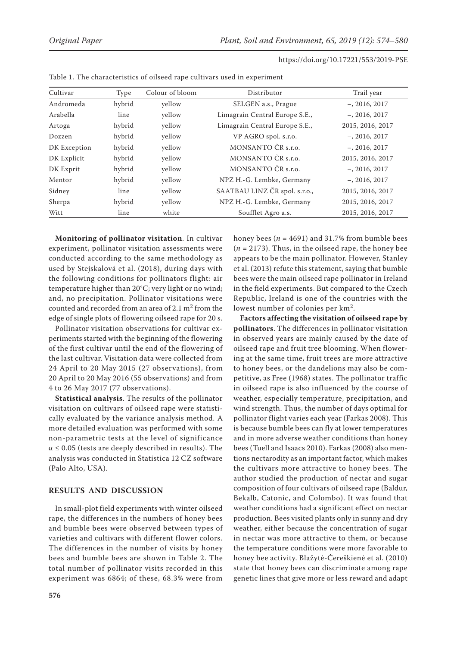| Cultivar     | Type   | Colour of bloom | Distributor                    | Trail year       |  |  |
|--------------|--------|-----------------|--------------------------------|------------------|--|--|
| Andromeda    | hybrid | yellow          | SELGEN a.s., Prague            | $-$ , 2016, 2017 |  |  |
| Arabella     | line   | yellow          | Limagrain Central Europe S.E., | $-$ , 2016, 2017 |  |  |
| Artoga       | hybrid | yellow          | Limagrain Central Europe S.E., | 2015, 2016, 2017 |  |  |
| Dozzen       | hybrid | yellow          | VP AGRO spol. s.r.o.           | $-$ , 2016, 2017 |  |  |
| DK Exception | hybrid | yellow          | MONSANTO ČR s.r.o.             | $-$ , 2016, 2017 |  |  |
| DK Explicit  | hybrid | yellow          | MONSANTO ČR s.r.o.             | 2015, 2016, 2017 |  |  |
| DK Exprit    | hybrid | yellow          | MONSANTO ČR s.r.o.             | $-$ , 2016, 2017 |  |  |
| Mentor       | hybrid | yellow          | NPZ H.-G. Lembke, Germany      | $-$ , 2016, 2017 |  |  |
| Sidney       | line   | yellow          | SAATBAU LINZ ČR spol. s.r.o.,  | 2015, 2016, 2017 |  |  |
| Sherpa       | hybrid | yellow          | NPZ H.-G. Lembke, Germany      | 2015, 2016, 2017 |  |  |
| Witt         | line   | white           | Soufflet Agro a.s.             | 2015, 2016, 2017 |  |  |

Table 1. The characteristics of oilseed rape cultivars used in experiment

**Monitoring of pollinator visitation**. In cultivar experiment, pollinator visitation assessments were conducted according to the same methodology as used by Stejskalová et al. (2018), during days with the following conditions for pollinators flight: air temperature higher than 20°C; very light or no wind; and, no precipitation. Pollinator visitations were counted and recorded from an area of 2.1  $m<sup>2</sup>$  from the edge of single plots of flowering oilseed rape for 20 s.

Pollinator visitation observations for cultivar experiments started with the beginning of the flowering of the first cultivar until the end of the flowering of the last cultivar. Visitation data were collected from 24 April to 20 May 2015 (27 observations), from 20 April to 20 May 2016 (55 observations) and from 4 to 26 May 2017 (77 observations).

**Statistical analysis**. The results of the pollinator visitation on cultivars of oilseed rape were statistically evaluated by the variance analysis method. A more detailed evaluation was performed with some non-parametric tests at the level of significance  $\alpha \leq 0.05$  (tests are deeply described in results). The analysis was conducted in Statistica 12 CZ software (Palo Alto, USA).

# **Results and discussion**

In small-plot field experiments with winter oilseed rape, the differences in the numbers of honey bees and bumble bees were observed between types of varieties and cultivars with different flower colors. The differences in the number of visits by honey bees and bumble bees are shown in Table 2. The total number of pollinator visits recorded in this experiment was 6864; of these, 68.3% were from honey bees ( $n = 4691$ ) and 31.7% from bumble bees (*n* = 2173). Thus, in the oilseed rape, the honey bee appears to be the main pollinator. However, Stanley et al. (2013) refute this statement, saying that bumble bees were the main oilseed rape pollinator in Ireland in the field experiments. But compared to the Czech Republic, Ireland is one of the countries with the lowest number of colonies per km2.

**Factors affecting the visitation of oilseed rape by pollinators**. The differences in pollinator visitation in observed years are mainly caused by the date of oilseed rape and fruit tree blooming. When flowering at the same time, fruit trees are more attractive to honey bees, or the dandelions may also be competitive, as Free (1968) states. The pollinator traffic in oilseed rape is also influenced by the course of weather, especially temperature, precipitation, and wind strength. Thus, the number of days optimal for pollinator flight varies each year (Farkas 2008). This is because bumble bees can fly at lower temperatures and in more adverse weather conditions than honey bees (Tuell and Isaacs 2010). Farkas (2008) also mentions nectarodity as an important factor, which makes the cultivars more attractive to honey bees. The author studied the production of nectar and sugar composition of four cultivars of oilseed rape (Baldur, Bekalb, Catonic, and Colombo). It was found that weather conditions had a significant effect on nectar production. Bees visited plants only in sunny and dry weather, either because the concentration of sugar in nectar was more attractive to them, or because the temperature conditions were more favorable to honey bee activity. Blažytė-Čereškienė et al. (2010) state that honey bees can discriminate among rape genetic lines that give more or less reward and adapt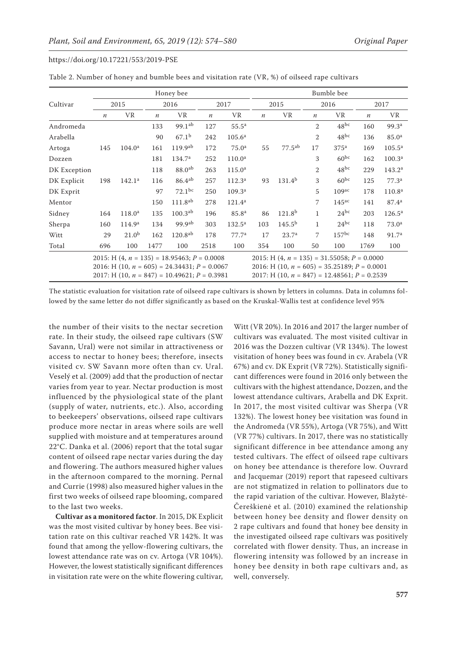|                                                                                                                                                            | Honey bee        |                    |                  |                     |                  | Bumble bee         |                  |                                                                                                                                                            |                  |                   |         |                    |  |
|------------------------------------------------------------------------------------------------------------------------------------------------------------|------------------|--------------------|------------------|---------------------|------------------|--------------------|------------------|------------------------------------------------------------------------------------------------------------------------------------------------------------|------------------|-------------------|---------|--------------------|--|
| Cultivar                                                                                                                                                   |                  | 2015               |                  | 2016                |                  | 2017               |                  | 2015                                                                                                                                                       |                  | 2016              |         | 2017               |  |
|                                                                                                                                                            | $\boldsymbol{n}$ | VR                 | $\boldsymbol{n}$ | VR                  | $\boldsymbol{n}$ | <b>VR</b>          | $\boldsymbol{n}$ | <b>VR</b>                                                                                                                                                  | $\boldsymbol{n}$ | <b>VR</b>         | $\it n$ | VR.                |  |
| Andromeda                                                                                                                                                  |                  |                    | 133              | $99.1^{ab}$         | 127              | $55.5^{\rm a}$     |                  |                                                                                                                                                            | $\overline{2}$   | $48^{bc}$         | 160     | 99.3 <sup>a</sup>  |  |
| Arabella                                                                                                                                                   |                  |                    | 90               | 67.1 <sup>b</sup>   | 242              | 105.6 <sup>a</sup> |                  |                                                                                                                                                            | $\overline{2}$   | $48^{bc}$         | 136     | 85.0 <sup>a</sup>  |  |
| Artoga                                                                                                                                                     | 145              | 104.0 <sup>a</sup> | 161              | $119.9^{ab}$        | 172              | 75.0 <sup>a</sup>  | 55               | $77.5^{ab}$                                                                                                                                                | 17               | 375 <sup>a</sup>  | 169     | $105.5^{\rm a}$    |  |
| Dozzen                                                                                                                                                     |                  |                    | 181              | 134.7 <sup>a</sup>  | 252              | 110.0 <sup>a</sup> |                  |                                                                                                                                                            | 3                | $60^{bc}$         | 162     | 100.3 <sup>a</sup> |  |
| DK Exception                                                                                                                                               |                  |                    | 118              | 88.0 <sup>ab</sup>  | 263              | 115.0 <sup>a</sup> |                  |                                                                                                                                                            | $\overline{2}$   | $48^{bc}$         | 229     | 143.2 <sup>a</sup> |  |
| DK Explicit                                                                                                                                                | 198              | 142.1 <sup>a</sup> | 116              | $86.4^{ab}$         | 257              | 112.3 <sup>a</sup> | 93               | $131.4^{b}$                                                                                                                                                | 3                | $60^{bc}$         | 125     | 77.3 <sup>a</sup>  |  |
| DK Exprit                                                                                                                                                  |                  |                    | 97               | $72.1^{bc}$         | 250              | 109.3 <sup>a</sup> |                  |                                                                                                                                                            | 5                | 109 <sup>ac</sup> | 178     | 110.8 <sup>a</sup> |  |
| Mentor                                                                                                                                                     |                  |                    | 150              | 111.8 <sup>ab</sup> | 278              | $121.4^a$          |                  |                                                                                                                                                            | 7                | $145^{\circ}$     | 141     | 87.4 <sup>a</sup>  |  |
| Sidney                                                                                                                                                     | 164              | 118.0 <sup>a</sup> | 135              | $100.3^{ab}$        | 196              | 85.8 <sup>a</sup>  | 86               | 121.8 <sup>b</sup>                                                                                                                                         | $\mathbf{1}$     | $24^{bc}$         | 203     | $126.5^{\rm a}$    |  |
| Sherpa                                                                                                                                                     | 160              | 114.9 <sup>a</sup> | 134              | 99.9 <sup>ab</sup>  | 303              | $132.5^{\rm a}$    | 103              | $145.5^{b}$                                                                                                                                                | $\mathbf{1}$     | $24^{bc}$         | 118     | 73.0 <sup>a</sup>  |  |
| Witt                                                                                                                                                       | 29               | 21.0 <sup>b</sup>  | 162              | $120.8^{ab}$        | 178              | 77.7 <sup>a</sup>  | 17               | 23.7 <sup>a</sup>                                                                                                                                          | 7                | 157 <sup>bc</sup> | 148     | 91.7 <sup>a</sup>  |  |
| Total                                                                                                                                                      | 696              | 100                | 1477             | 100                 | 2518             | 100                | 354              | 100                                                                                                                                                        | 50               | 100               | 1769    | 100                |  |
| 2015: H $(4, n = 135) = 18.95463$ ; $P = 0.0008$<br>2016: H $(10, n = 605) = 24.34431$ ; $P = 0.0067$<br>2017: H $(10, n = 847) = 10.49621$ ; $P = 0.3981$ |                  |                    |                  |                     |                  |                    |                  | 2015: H $(4, n = 135) = 31.55058$ ; $P = 0.0000$<br>2016: H (10, $n = 605$ ) = 35.25189; $P = 0.0001$<br>2017: H $(10, n = 847) = 12.48561$ ; $P = 0.2539$ |                  |                   |         |                    |  |

The statistic evaluation for visitation rate of oilseed rape cultivars is shown by letters in columns. Data in columns followed by the same letter do not differ significantly as based on the Kruskal-Wallis test at confidence level 95%

the number of their visits to the nectar secretion rate. In their study, the oilseed rape cultivars (SW Savann, Ural) were not similar in attractiveness or access to nectar to honey bees; therefore, insects visited cv. SW Savann more often than cv. Ural. Veselý et al. (2009) add that the production of nectar varies from year to year. Nectar production is most influenced by the physiological state of the plant (supply of water, nutrients, etc.). Also, according to beekeepers' observations, oilseed rape cultivars produce more nectar in areas where soils are well supplied with moisture and at temperatures around 22°C. Danka et al. (2006) report that the total sugar content of oilseed rape nectar varies during the day and flowering. The authors measured higher values in the afternoon compared to the morning. Pernal and Currie (1998) also measured higher values in the first two weeks of oilseed rape blooming, compared to the last two weeks.

**Cultivar as a monitored factor**. In 2015, DK Explicit was the most visited cultivar by honey bees. Bee visitation rate on this cultivar reached VR 142%. It was found that among the yellow-flowering cultivars, the lowest attendance rate was on cv. Artoga (VR 104%). However, the lowest statistically significant differences in visitation rate were on the white flowering cultivar,

Witt (VR 20%). In 2016 and 2017 the larger number of cultivars was evaluated. The most visited cultivar in 2016 was the Dozzen cultivar (VR 134%). The lowest visitation of honey bees was found in cv. Arabela (VR 67%) and cv. DK Exprit (VR 72%). Statistically significant differences were found in 2016 only between the cultivars with the highest attendance, Dozzen, and the lowest attendance cultivars, Arabella and DK Exprit. In 2017, the most visited cultivar was Sherpa (VR 132%). The lowest honey bee visitation was found in the Andromeda (VR 55%), Artoga (VR 75%), and Witt (VR 77%) cultivars. In 2017, there was no statistically significant difference in bee attendance among any tested cultivars. The effect of oilseed rape cultivars on honey bee attendance is therefore low. Ouvrard and Jacquemar (2019) report that rapeseed cultivars are not stigmatized in relation to pollinators due to the rapid variation of the cultivar. However, Blažytė-Čereškienė et al. (2010) examined the relationship between honey bee density and flower density on 2 rape cultivars and found that honey bee density in the investigated oilseed rape cultivars was positively correlated with flower density. Thus, an increase in flowering intensity was followed by an increase in honey bee density in both rape cultivars and, as well, conversely.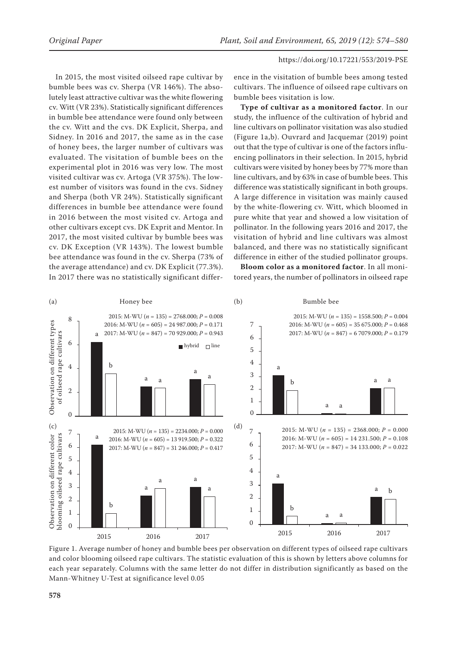In 2015, the most visited oilseed rape cultivar by bumble bees was cv. Sherpa (VR 146%). The absolutely least attractive cultivar was the white flowering cv. Witt (VR 23%). Statistically significant differences in bumble bee attendance were found only between the cv. Witt and the cvs. DK Explicit, Sherpa, and Sidney. In 2016 and 2017, the same as in the case of honey bees, the larger number of cultivars was evaluated. The visitation of bumble bees on the experimental plot in 2016 was very low. The most visited cultivar was cv. Artoga (VR 375%). The lowest number of visitors was found in the cvs. Sidney and Sherpa (both VR 24%). Statistically significant differences in bumble bee attendance were found in 2016 between the most visited cv. Artoga and other cultivars except cvs. DK Exprit and Mentor. In 2017, the most visited cultivar by bumble bees was cv. DK Exception (VR 143%). The lowest bumble bee attendance was found in the cv. Sherpa (73% of the average attendance) and cv. DK Explicit (77.3%). In 2017 there was no statistically significant differ-

ence in the visitation of bumble bees among tested cultivars. The influence of oilseed rape cultivars on bumble bees visitation is low.

**Type of cultivar as a monitored factor**. In our study, the influence of the cultivation of hybrid and line cultivars on pollinator visitation was also studied (Figure 1a,b). Ouvrard and Jacquemar (2019) point out that the type of cultivar is one of the factors influencing pollinators in their selection. In 2015, hybrid cultivars were visited by honey bees by 77% more than line cultivars, and by 63% in case of bumble bees. This difference was statistically significant in both groups. A large difference in visitation was mainly caused by the white-flowering cv. Witt, which bloomed in pure white that year and showed a low visitation of pollinator. In the following years 2016 and 2017, the visitation of hybrid and line cultivars was almost balanced, and there was no statistically significant difference in either of the studied pollinator groups.

**Bloom color as a monitored factor**. In all monitored years, the number of pollinators in oilseed rape



Figure 1. Average number of honey and bumble bees per observation on different types of oilseed rape cultivars and color blooming oilseed rape cultivars. The statistic evaluation of this is shown by letters above columns for each year separately. Columns with the same letter do not differ in distribution significantly as based on the Mann-Whitney U-Test at significance level 0.05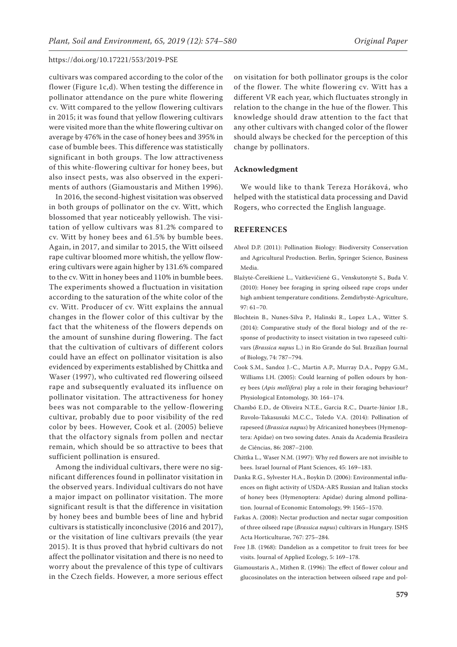cultivars was compared according to the color of the flower (Figure 1c,d). When testing the difference in pollinator attendance on the pure white flowering cv. Witt compared to the yellow flowering cultivars in 2015; it was found that yellow flowering cultivars were visited more than the white flowering cultivar on average by 476% in the case of honey bees and 395% in case of bumble bees. This difference was statistically significant in both groups. The low attractiveness of this white-flowering cultivar for honey bees, but also insect pests, was also observed in the experiments of authors (Giamoustaris and Mithen 1996).

In 2016, the second-highest visitation was observed in both groups of pollinator on the cv. Witt, which blossomed that year noticeably yellowish. The visitation of yellow cultivars was 81.2% compared to cv. Witt by honey bees and 61.5% by bumble bees. Again, in 2017, and similar to 2015, the Witt oilseed rape cultivar bloomed more whitish, the yellow flowering cultivars were again higher by 131.6% compared to the cv. Witt in honey bees and 110% in bumble bees. The experiments showed a fluctuation in visitation according to the saturation of the white color of the cv. Witt. Producer of cv. Witt explains the annual changes in the flower color of this cultivar by the fact that the whiteness of the flowers depends on the amount of sunshine during flowering. The fact that the cultivation of cultivars of different colors could have an effect on pollinator visitation is also evidenced by experiments established by Chittka and Waser (1997), who cultivated red flowering oilseed rape and subsequently evaluated its influence on pollinator visitation. The attractiveness for honey bees was not comparable to the yellow-flowering cultivar, probably due to poor visibility of the red color by bees. However, Cook et al. (2005) believe that the olfactory signals from pollen and nectar remain, which should be so attractive to bees that sufficient pollination is ensured.

Among the individual cultivars, there were no significant differences found in pollinator visitation in the observed years. Individual cultivars do not have a major impact on pollinator visitation. The more significant result is that the difference in visitation by honey bees and bumble bees of line and hybrid cultivars is statistically inconclusive (2016 and 2017), or the visitation of line cultivars prevails (the year 2015). It is thus proved that hybrid cultivars do not affect the pollinator visitation and there is no need to worry about the prevalence of this type of cultivars in the Czech fields. However, a more serious effect

on visitation for both pollinator groups is the color of the flower. The white flowering cv. Witt has a different VR each year, which fluctuates strongly in relation to the change in the hue of the flower. This knowledge should draw attention to the fact that any other cultivars with changed color of the flower should always be checked for the perception of this change by pollinators.

### **Acknowledgment**

We would like to thank Tereza Horáková, who helped with the statistical data processing and David Rogers, who corrected the English language.

### **References**

- Abrol D.P. (2011): Pollination Biology: Biodiversity Conservation and Agricultural Production. Berlin, Springer Science, Business Media.
- Blažytė-Čereškienė L., Vaitkevičienė G., Venskutonytė S., Buda V. (2010): Honey bee foraging in spring oilseed rape crops under high ambient temperature conditions. Žemdirbystė-Agriculture, 97: 61–70.
- Blochtein B., Nunes-Silva P., Halinski R., Lopez L.A., Witter S. (2014): Comparative study of the floral biology and of the response of productivity to insect visitation in two rapeseed cultivars (*Brassica napus* L.) in Rio Grande do Sul. Brazilian Journal of Biology, 74: 787–794.
- Cook S.M., Sandoz J.-C., Martin A.P., Murray D.A., Poppy G.M., Williams I.H. (2005): Could learning of pollen odours by honey bees (*Apis mellifera*) play a role in their foraging behaviour? Physiological Entomology, 30: 164–174.
- Chambó E.D., de Oliveira N.T.E., Garcia R.C., Duarte-Júnior J.B., Ruvolo-Takasusuki M.C.C., Toledo V.A. (2014): Pollination of rapeseed (*Brassica napus*) by Africanized honeybees (Hymenoptera: Apidae) on two sowing dates. Anais da Academia Brasileira de Ciências, 86: 2087–2100.
- Chittka L., Waser N.M. (1997): Why red flowers are not invisible to bees. Israel Journal of Plant Sciences, 45: 169–183.
- Danka R.G., Sylvester H.A., Boykin D. (2006): Environmental influences on flight activity of USDA-ARS Russian and Italian stocks of honey bees (Hymenoptera: Apidae) during almond pollination. Journal of Economic Entomology, 99: 1565–1570.
- Farkas A. (2008): Nectar production and nectar sugar composition of three oilseed rape (*Brassica napus*) cultivars in Hungary. ISHS Acta Horticulturae, 767: 275–284.
- Free J.B. (1968): Dandelion as a competitor to fruit trees for bee visits. Journal of Applied Ecology, 5: 169–178.
- Giamoustaris A., Mithen R. (1996): The effect of flower colour and glucosinolates on the interaction between oilseed rape and pol-